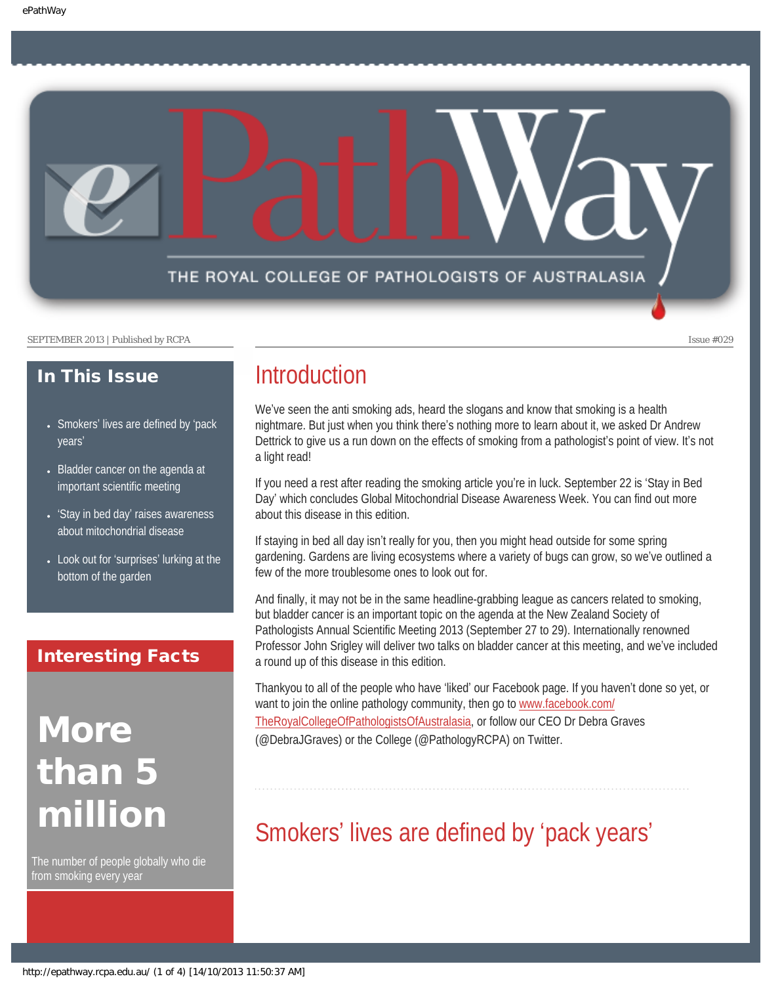

#### SEPTEMBER 2013 | Published by RCPA Issue #029

### In This Issue

- Smokers' [lives are defined by](#page-0-0) 'pack [years](#page-0-0)'
- Bladder cancer on the agenda at [important scientific meeting](#page-1-0)
- 'Stay in bed day' [raises awareness](#page-1-1) [about mitochondrial disease](#page-1-1)
- Look out for 'surprises' lurking at the [bottom of the garden](#page-2-0)

### Interesting Facts

# **More** than 5 million

<span id="page-0-0"></span>The number of people globally who die from smoking every year

### **Introduction**

We've seen the anti smoking ads, heard the slogans and know that smoking is a health nightmare. But just when you think there's nothing more to learn about it, we asked Dr Andrew Dettrick to give us a run down on the effects of smoking from a pathologist's point of view. It's not a light read!

If you need a rest after reading the smoking article you're in luck. September 22 is 'Stay in Bed Day' which concludes Global Mitochondrial Disease Awareness Week. You can find out more about this disease in this edition.

If staying in bed all day isn't really for you, then you might head outside for some spring gardening. Gardens are living ecosystems where a variety of bugs can grow, so we've outlined a few of the more troublesome ones to look out for.

And finally, it may not be in the same headline-grabbing league as cancers related to smoking, but bladder cancer is an important topic on the agenda at the New Zealand Society of Pathologists Annual Scientific Meeting 2013 (September 27 to 29). Internationally renowned Professor John Srigley will deliver two talks on bladder cancer at this meeting, and we've included a round up of this disease in this edition.

Thankyou to all of the people who have 'liked' our Facebook page. If you haven't done so yet, or want to join the online pathology community, then go to [www.facebook.com/](http://www.facebook.com/TheRoyalCollegeOfPathologistsOfAustralasia) [TheRoyalCollegeOfPathologistsOfAustralasia](http://www.facebook.com/TheRoyalCollegeOfPathologistsOfAustralasia), or follow our CEO Dr Debra Graves (@DebraJGraves) or the College (@PathologyRCPA) on Twitter.

## Smokers' lives are defined by 'pack years'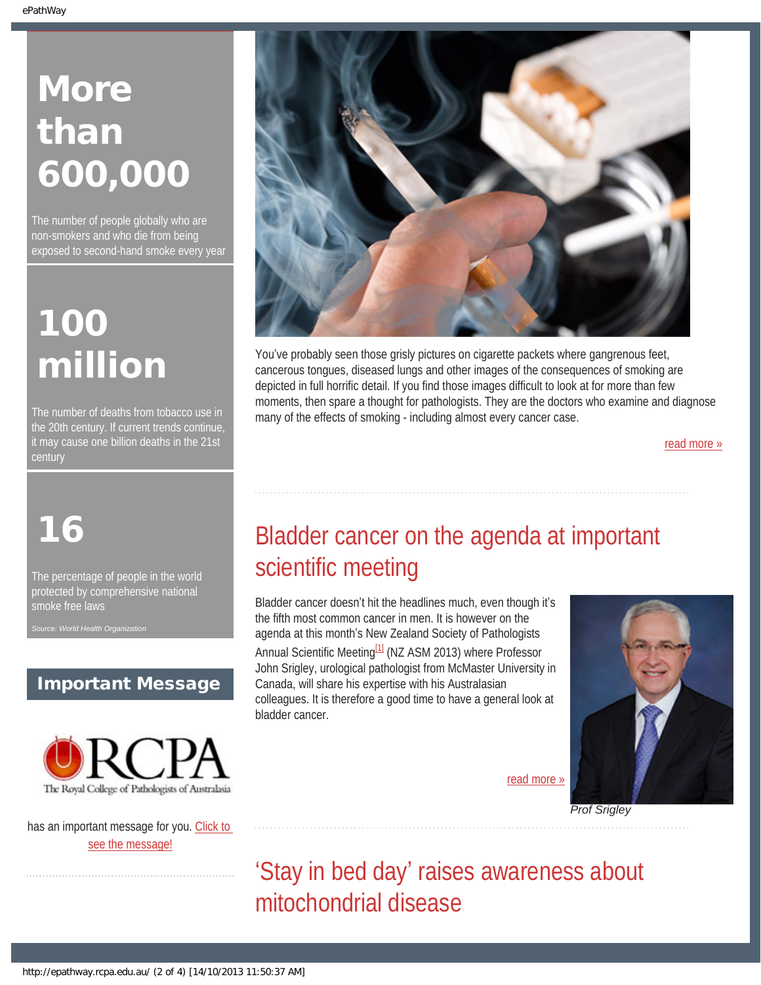# **More** than 600,000

The number of people globally who are non-smokers and who die from being exposed to second-hand smoke every year

# 100 million

The number of deaths from tobacco use in the 20th century. If current trends continue, it may cause one billion deaths in the 21st century

# <span id="page-1-0"></span>16

The percentage of people in the world protected by comprehensive national smoke free laws

*Source: World Health Organization*

### Important Message



<span id="page-1-1"></span>has an important message for you. [Click to](http://epathway.rcpa.edu.au/notice.html) [see the message!](http://epathway.rcpa.edu.au/notice.html)



You've probably seen those grisly pictures on cigarette packets where gangrenous feet, cancerous tongues, diseased lungs and other images of the consequences of smoking are depicted in full horrific detail. If you find those images difficult to look at for more than few moments, then spare a thought for pathologists. They are the doctors who examine and diagnose many of the effects of smoking - including almost every cancer case.

[read more »](#page-4-0)

## Bladder cancer on the agenda at important scientific meeting

Bladder cancer doesn't hit the headlines much, even though it's the fifth most common cancer in men. It is however on the agenda at this month's New Zealand Society of Pathologists Annual Scientific Meeting<sup>[1]</sup> (NZ ASM 2013) where Professor John Srigley, urological pathologist from McMaster University in Canada, will share his expertise with his Australasian colleagues. It is therefore a good time to have a general look at bladder cancer.



[read more »](#page-6-0)

'Stay in bed day' raises awareness about mitochondrial disease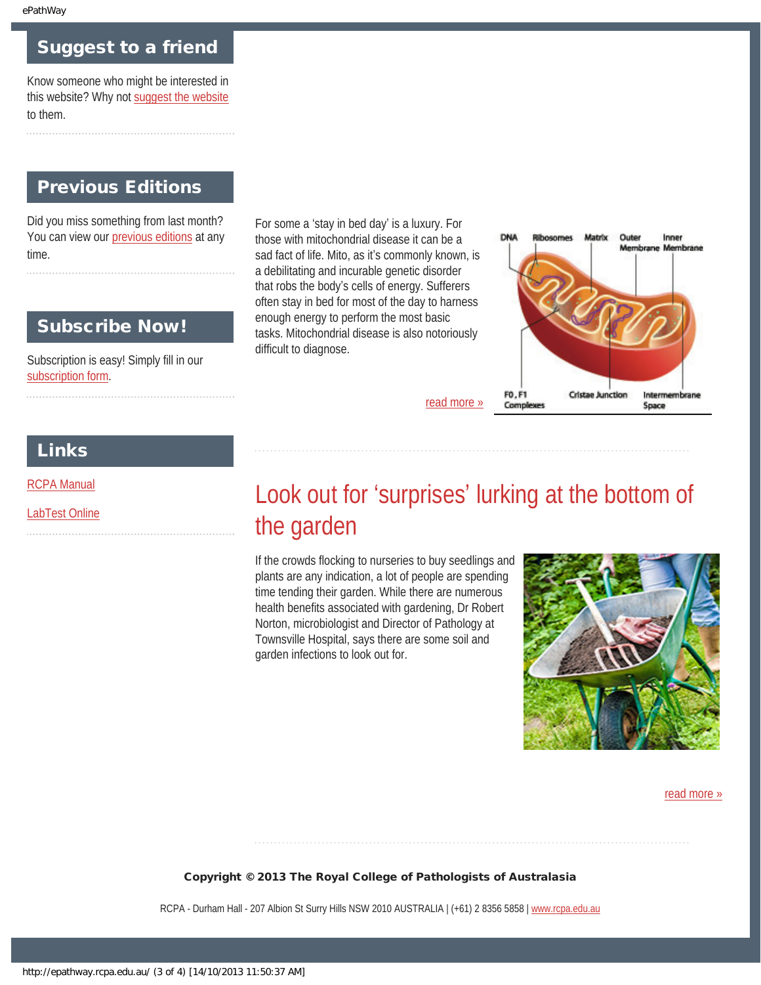### Suggest to a friend

Know someone who might be interested in this website? Why not [suggest the website](mailto:?Subject=I%20think%20you%20should%20read%20this%20Newsletter=
http://epathway.rcpa.edu.au/index.html) to them.

### Previous Editions

Did you miss something from last month? You can view our [previous editions](#page-8-0) at any time.

### Subscribe Now!

Subscription is easy! Simply fill in our [subscription form](http://epathway.rcpa.edu.au/subscription.html).

For some a 'stay in bed day' is a luxury. For those with mitochondrial disease it can be a sad fact of life. Mito, as it's commonly known, is a debilitating and incurable genetic disorder that robs the body's cells of energy. Sufferers often stay in bed for most of the day to harness enough energy to perform the most basic tasks. Mitochondrial disease is also notoriously difficult to diagnose.



### Links

<span id="page-2-0"></span>[RCPA Manual](http://rcpamanual.edu.au/)

[LabTest Online](http://www.labtestsonline.org.au/)

## Look out for 'surprises' lurking at the bottom of the garden

[read more »](#page-10-0)

If the crowds flocking to nurseries to buy seedlings and plants are any indication, a lot of people are spending time tending their garden. While there are numerous health benefits associated with gardening, Dr Robert Norton, microbiologist and Director of Pathology at Townsville Hospital, says there are some soil and garden infections to look out for.



#### [read more »](#page-12-0)

#### Copyright © 2013 The Royal College of Pathologists of Australasia

RCPA - Durham Hall - 207 Albion St Surry Hills NSW 2010 AUSTRALIA | (+61) 2 8356 5858 | [www.rcpa.edu.au](http://www.rcpa.edu.au/)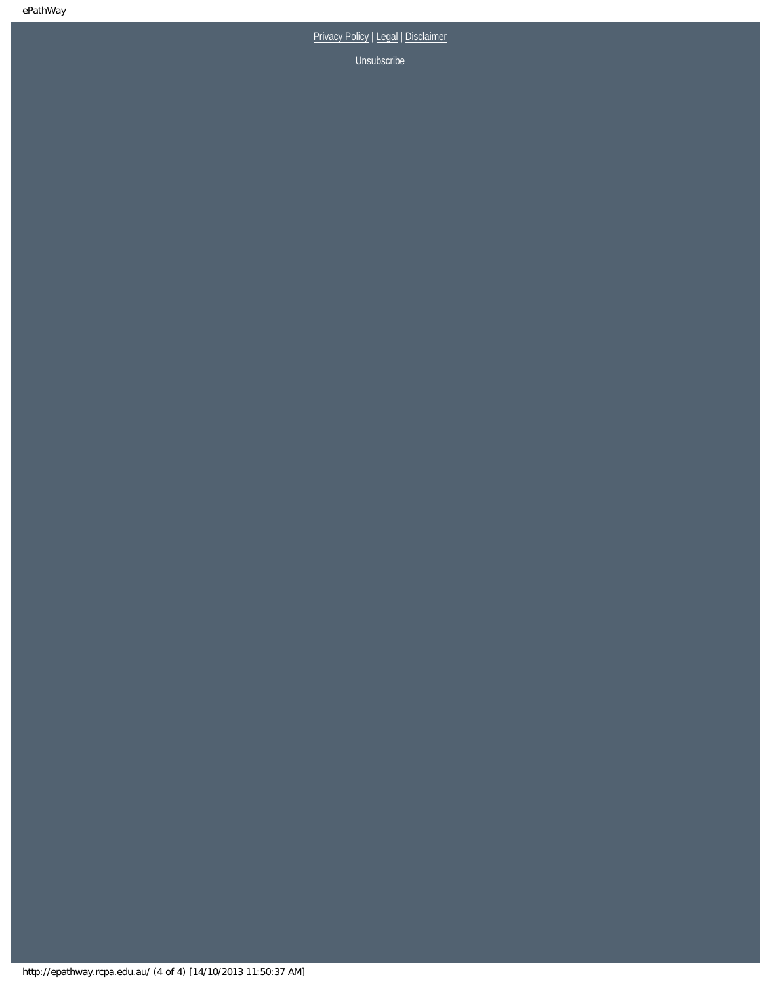[Privacy Policy](http://www.rcpa.edu.au/Privacy.htm) | [Legal](http://www.rcpa.edu.au/Legal.htm) | Disclaimer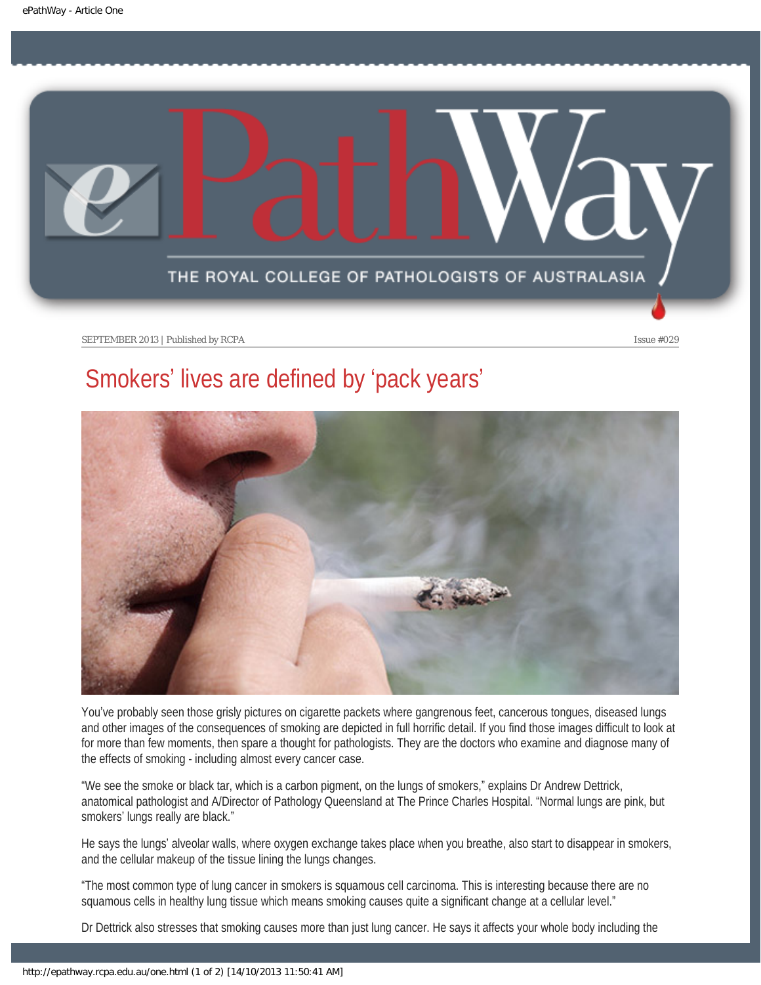<span id="page-4-0"></span>

SEPTEMBER 2013 | Published by RCPA **Issue #029** 

## Smokers' lives are defined by 'pack years'



You've probably seen those grisly pictures on cigarette packets where gangrenous feet, cancerous tongues, diseased lungs and other images of the consequences of smoking are depicted in full horrific detail. If you find those images difficult to look at for more than few moments, then spare a thought for pathologists. They are the doctors who examine and diagnose many of the effects of smoking - including almost every cancer case.

"We see the smoke or black tar, which is a carbon pigment, on the lungs of smokers," explains Dr Andrew Dettrick, anatomical pathologist and A/Director of Pathology Queensland at The Prince Charles Hospital. "Normal lungs are pink, but smokers' lungs really are black."

He says the lungs' alveolar walls, where oxygen exchange takes place when you breathe, also start to disappear in smokers, and the cellular makeup of the tissue lining the lungs changes.

"The most common type of lung cancer in smokers is squamous cell carcinoma. This is interesting because there are no squamous cells in healthy lung tissue which means smoking causes quite a significant change at a cellular level."

Dr Dettrick also stresses that smoking causes more than just lung cancer. He says it affects your whole body including the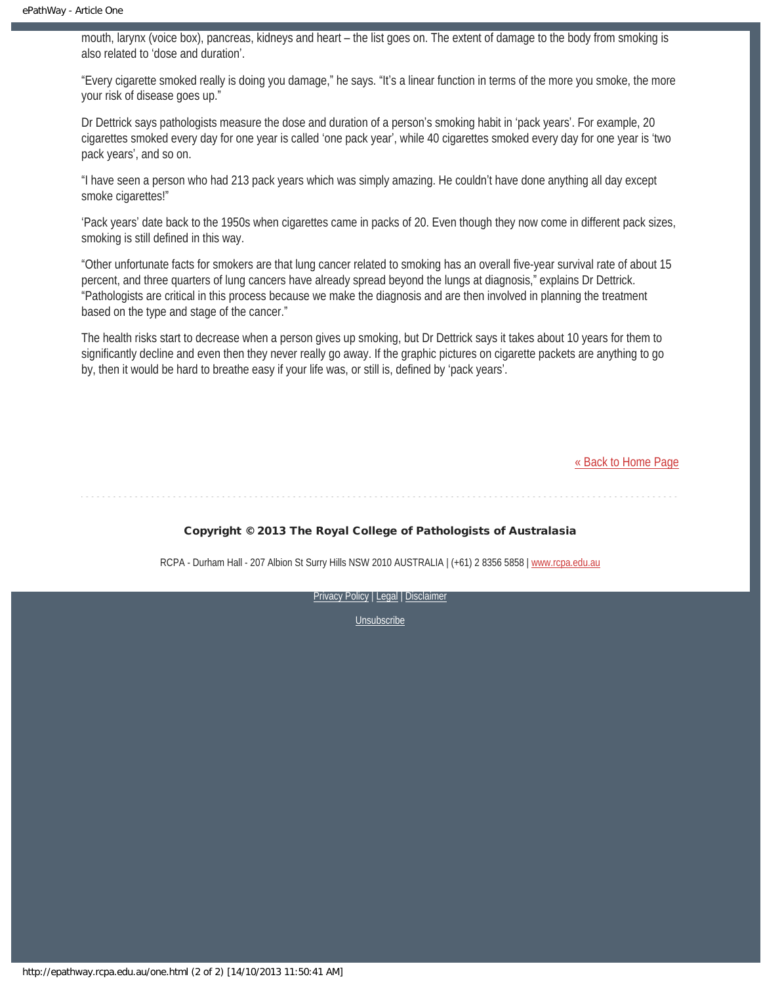mouth, larynx (voice box), pancreas, kidneys and heart – the list goes on. The extent of damage to the body from smoking is also related to 'dose and duration'.

"Every cigarette smoked really is doing you damage," he says. "It's a linear function in terms of the more you smoke, the more your risk of disease goes up."

Dr Dettrick says pathologists measure the dose and duration of a person's smoking habit in 'pack years'. For example, 20 cigarettes smoked every day for one year is called 'one pack year', while 40 cigarettes smoked every day for one year is 'two pack years', and so on.

"I have seen a person who had 213 pack years which was simply amazing. He couldn't have done anything all day except smoke cigarettes!"

'Pack years' date back to the 1950s when cigarettes came in packs of 20. Even though they now come in different pack sizes, smoking is still defined in this way.

"Other unfortunate facts for smokers are that lung cancer related to smoking has an overall five-year survival rate of about 15 percent, and three quarters of lung cancers have already spread beyond the lungs at diagnosis," explains Dr Dettrick. "Pathologists are critical in this process because we make the diagnosis and are then involved in planning the treatment based on the type and stage of the cancer."

The health risks start to decrease when a person gives up smoking, but Dr Dettrick says it takes about 10 years for them to significantly decline and even then they never really go away. If the graphic pictures on cigarette packets are anything to go by, then it would be hard to breathe easy if your life was, or still is, defined by 'pack years'.

[« Back to Home Page](http://epathway.rcpa.edu.au/index.html)

#### Copyright © 2013 The Royal College of Pathologists of Australasia

RCPA - Durham Hall - 207 Albion St Surry Hills NSW 2010 AUSTRALIA | (+61) 2 8356 5858 | [www.rcpa.edu.au](http://www.rcpa.edu.au/)

[Privacy Policy](http://www.rcpa.edu.au/Privacy.htm) | [Legal](http://www.rcpa.edu.au/Legal.htm) | Disclaimer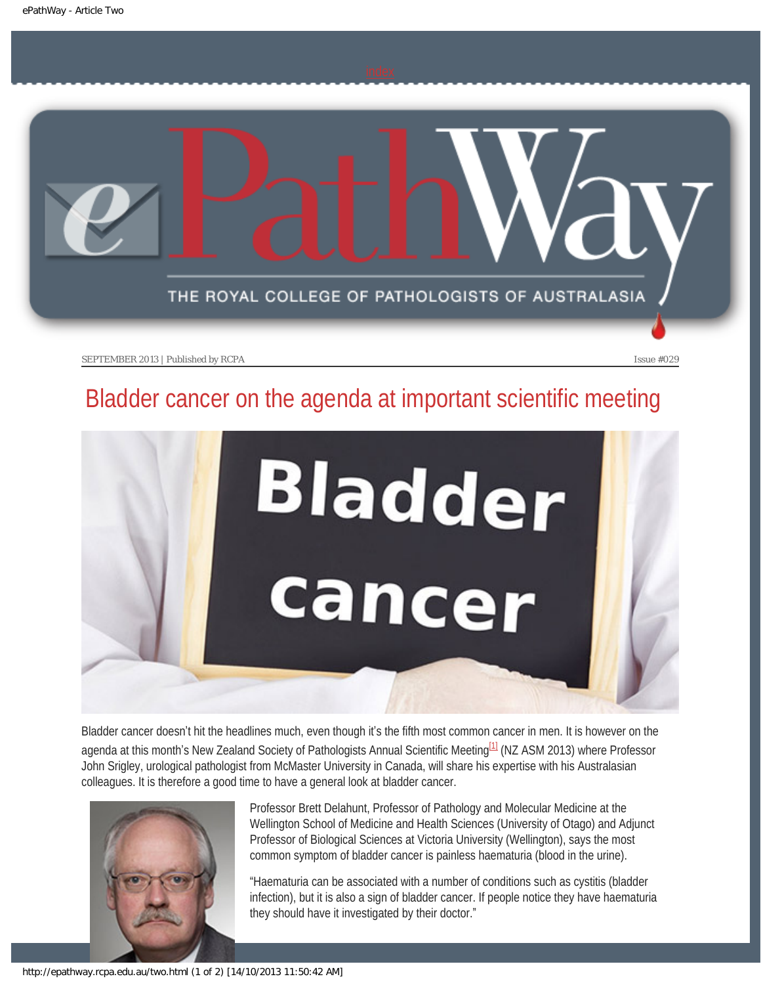<span id="page-6-0"></span>

SEPTEMBER 2013 | Published by RCPA **Issue #029** Issue #029

## Bladder cancer on the agenda at important scientific meeting



Bladder cancer doesn't hit the headlines much, even though it's the fifth most common cancer in men. It is however on the agenda at this month's New Zealand Society of Pathologists Annual Scientific Meeting<sup>[1]</sup> (NZ ASM 2013) where Professor John Srigley, urological pathologist from McMaster University in Canada, will share his expertise with his Australasian colleagues. It is therefore a good time to have a general look at bladder cancer.

<span id="page-6-1"></span>

Professor Brett Delahunt, Professor of Pathology and Molecular Medicine at the Wellington School of Medicine and Health Sciences (University of Otago) and Adjunct Professor of Biological Sciences at Victoria University (Wellington), says the most common symptom of bladder cancer is painless haematuria (blood in the urine).

"Haematuria can be associated with a number of conditions such as cystitis (bladder infection), but it is also a sign of bladder cancer. If people notice they have haematuria they should have it investigated by their doctor."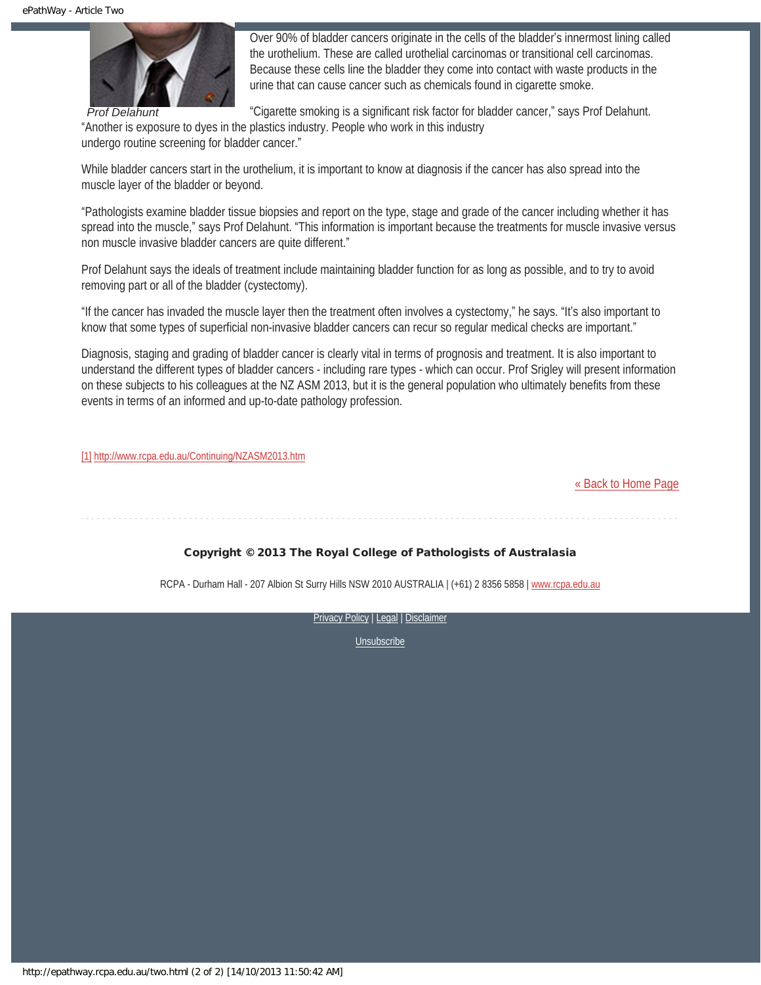

*Prof Delahunt*

Over 90% of bladder cancers originate in the cells of the bladder's innermost lining called the urothelium. These are called urothelial carcinomas or transitional cell carcinomas. Because these cells line the bladder they come into contact with waste products in the urine that can cause cancer such as chemicals found in cigarette smoke.

"Cigarette smoking is a significant risk factor for bladder cancer," says Prof Delahunt. "Another is exposure to dyes in the plastics industry. People who work in this industry

undergo routine screening for bladder cancer."

While bladder cancers start in the urothelium, it is important to know at diagnosis if the cancer has also spread into the muscle layer of the bladder or beyond.

"Pathologists examine bladder tissue biopsies and report on the type, stage and grade of the cancer including whether it has spread into the muscle," says Prof Delahunt. "This information is important because the treatments for muscle invasive versus non muscle invasive bladder cancers are quite different."

Prof Delahunt says the ideals of treatment include maintaining bladder function for as long as possible, and to try to avoid removing part or all of the bladder (cystectomy).

"If the cancer has invaded the muscle layer then the treatment often involves a cystectomy," he says. "It's also important to know that some types of superficial non-invasive bladder cancers can recur so regular medical checks are important."

Diagnosis, staging and grading of bladder cancer is clearly vital in terms of prognosis and treatment. It is also important to understand the different types of bladder cancers - including rare types - which can occur. Prof Srigley will present information on these subjects to his colleagues at the NZ ASM 2013, but it is the general population who ultimately benefits from these events in terms of an informed and up-to-date pathology profession.

<span id="page-7-0"></span>[\[1\]](#page-6-1) <http://www.rcpa.edu.au/Continuing/NZASM2013.htm>

[« Back to Home Page](http://epathway.rcpa.edu.au/index.html)

#### Copyright © 2013 The Royal College of Pathologists of Australasia

RCPA - Durham Hall - 207 Albion St Surry Hills NSW 2010 AUSTRALIA | (+61) 2 8356 5858 | [www.rcpa.edu.au](http://www.rcpa.edu.au/)

[Privacy Policy](http://www.rcpa.edu.au/Privacy.htm) | [Legal](http://www.rcpa.edu.au/Legal.htm) | Disclaimer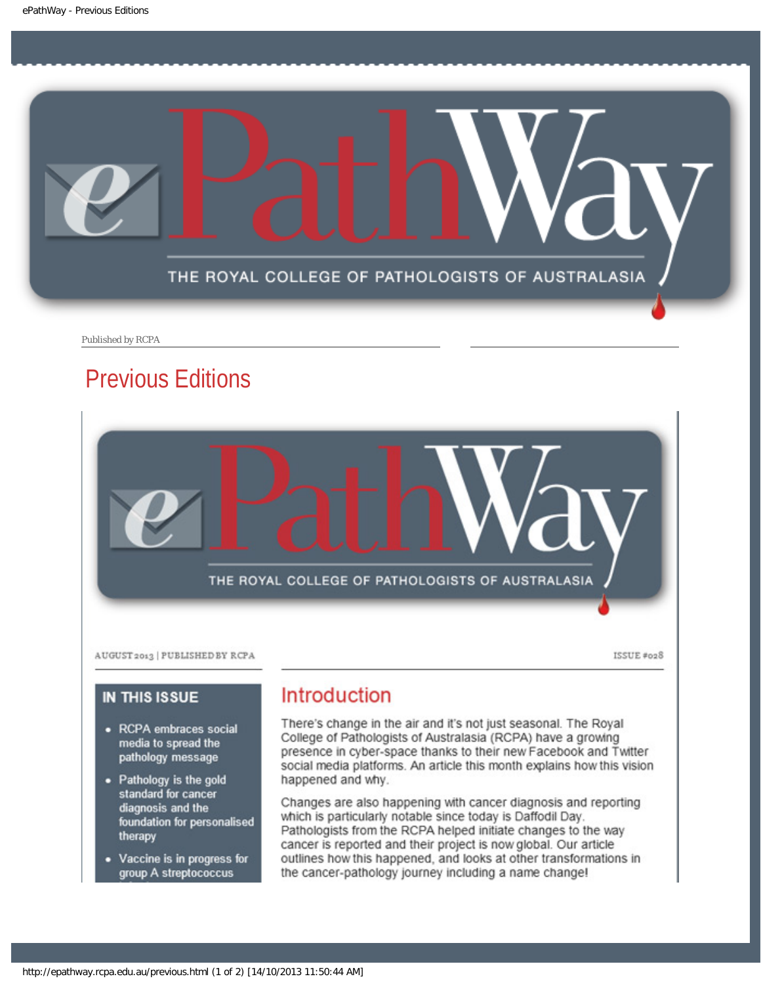<span id="page-8-0"></span>

Published by RCPA

## Previous Editions



ISSUE #028

#### **IN THIS ISSUE**

- RCPA embraces social media to spread the pathology message
- Pathology is the gold standard for cancer diagnosis and the foundation for personalised therapy
- Vaccine is in progress for group A streptococcus

### **Introduction**

There's change in the air and it's not just seasonal. The Royal College of Pathologists of Australasia (RCPA) have a growing presence in cyber-space thanks to their new Facebook and Twitter social media platforms. An article this month explains how this vision happened and why.

Changes are also happening with cancer diagnosis and reporting which is particularly notable since today is Daffodil Day. Pathologists from the RCPA helped initiate changes to the way cancer is reported and their project is now global. Our article outlines how this happened, and looks at other transformations in the cancer-pathology journey including a name change!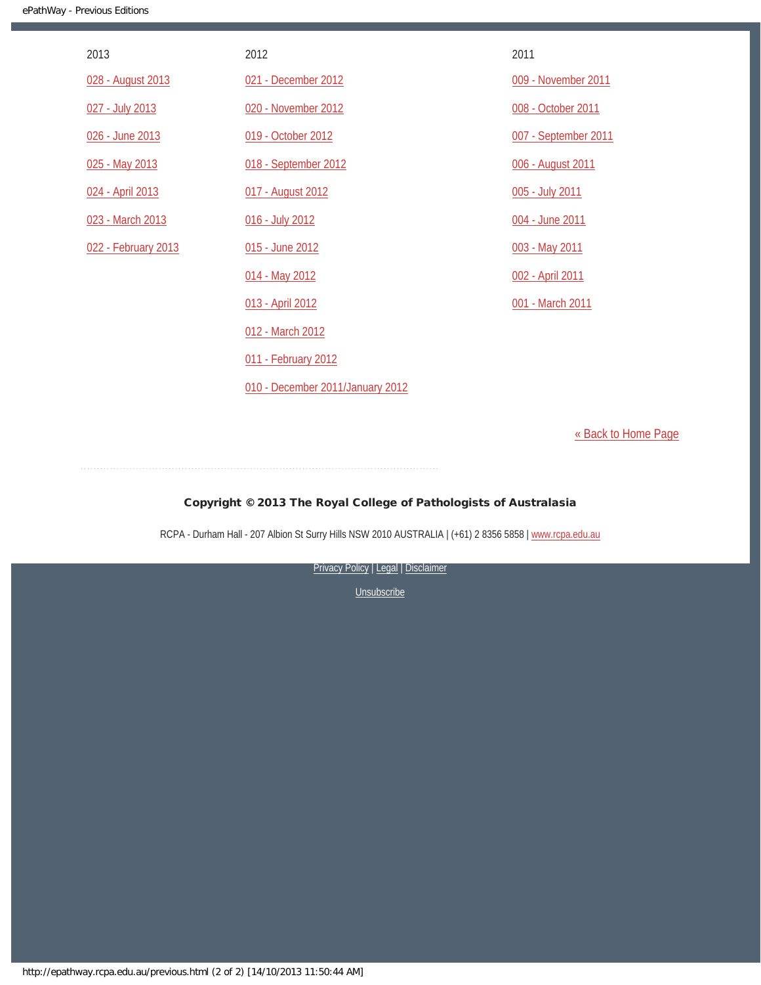| 2013                | 2012                             | 2011                 |
|---------------------|----------------------------------|----------------------|
| 028 - August 2013   | 021 - December 2012              | 009 - November 2011  |
| 027 - July 2013     | 020 - November 2012              | 008 - October 2011   |
| 026 - June 2013     | 019 - October 2012               | 007 - September 2011 |
| 025 - May 2013      | 018 - September 2012             | 006 - August 2011    |
| 024 - April 2013    | 017 - August 2012                | 005 - July 2011      |
| 023 - March 2013    | 016 - July 2012                  | 004 - June 2011      |
| 022 - February 2013 | 015 - June 2012                  | 003 - May 2011       |
|                     | 014 - May 2012                   | 002 - April 2011     |
|                     | 013 - April 2012                 | 001 - March 2011     |
|                     | 012 - March 2012                 |                      |
|                     | 011 - February 2012              |                      |
|                     | 010 - December 2011/January 2012 |                      |

[« Back to Home Page](http://epathway.rcpa.edu.au/index.html)

#### Copyright © 2013 The Royal College of Pathologists of Australasia

RCPA - Durham Hall - 207 Albion St Surry Hills NSW 2010 AUSTRALIA | (+61) 2 8356 5858 | [www.rcpa.edu.au](http://www.rcpa.edu.au/)

[Privacy Policy](http://www.rcpa.edu.au/Privacy.htm) | [Legal](http://www.rcpa.edu.au/Legal.htm) | Disclaimer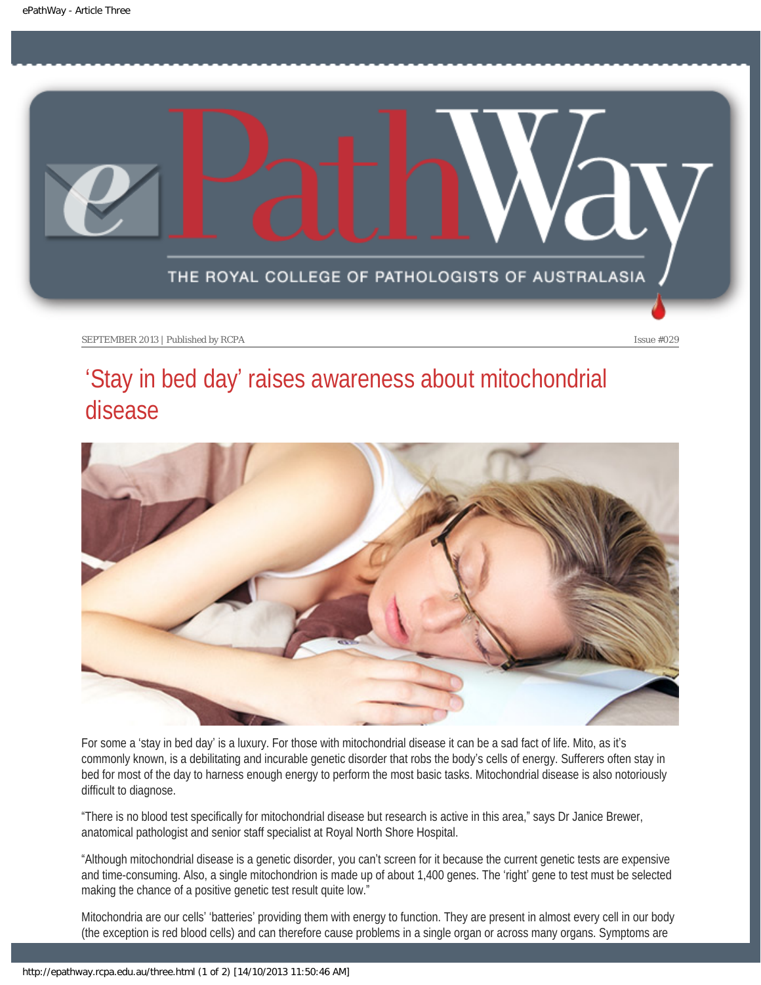<span id="page-10-0"></span>

SEPTEMBER 2013 | Published by RCPA **Issue #029** Issue #029

## 'Stay in bed day' raises awareness about mitochondrial disease



For some a 'stay in bed day' is a luxury. For those with mitochondrial disease it can be a sad fact of life. Mito, as it's commonly known, is a debilitating and incurable genetic disorder that robs the body's cells of energy. Sufferers often stay in bed for most of the day to harness enough energy to perform the most basic tasks. Mitochondrial disease is also notoriously difficult to diagnose.

"There is no blood test specifically for mitochondrial disease but research is active in this area," says Dr Janice Brewer, anatomical pathologist and senior staff specialist at Royal North Shore Hospital.

"Although mitochondrial disease is a genetic disorder, you can't screen for it because the current genetic tests are expensive and time-consuming. Also, a single mitochondrion is made up of about 1,400 genes. The 'right' gene to test must be selected making the chance of a positive genetic test result quite low."

Mitochondria are our cells' 'batteries' providing them with energy to function. They are present in almost every cell in our body (the exception is red blood cells) and can therefore cause problems in a single organ or across many organs. Symptoms are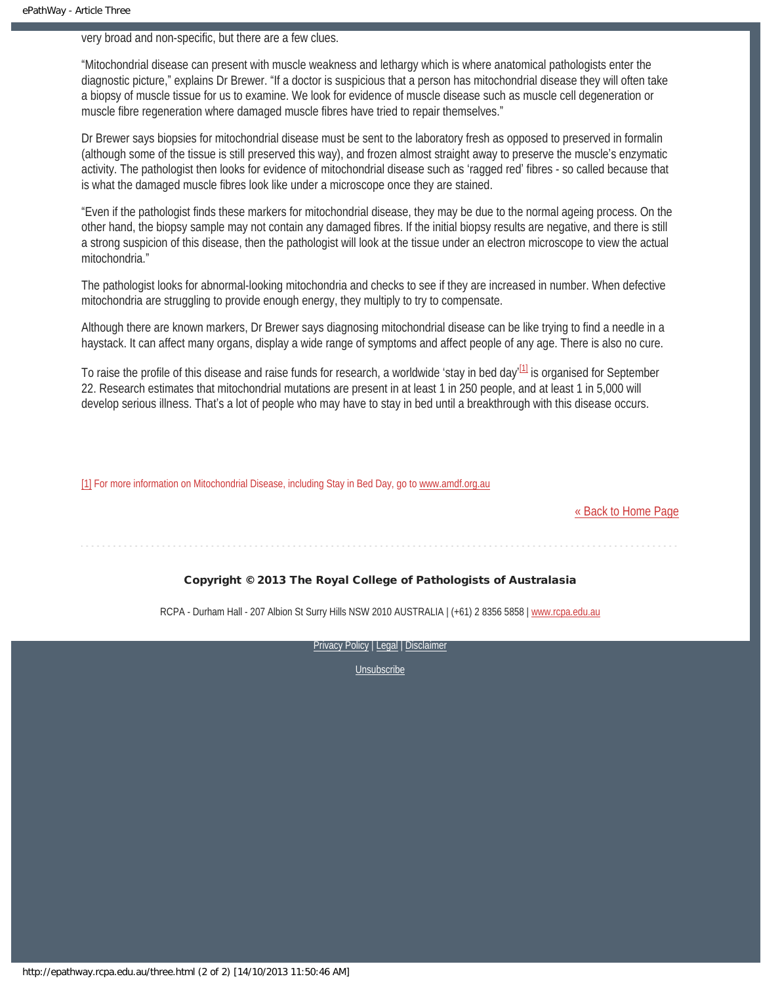very broad and non-specific, but there are a few clues.

"Mitochondrial disease can present with muscle weakness and lethargy which is where anatomical pathologists enter the diagnostic picture," explains Dr Brewer. "If a doctor is suspicious that a person has mitochondrial disease they will often take a biopsy of muscle tissue for us to examine. We look for evidence of muscle disease such as muscle cell degeneration or muscle fibre regeneration where damaged muscle fibres have tried to repair themselves."

Dr Brewer says biopsies for mitochondrial disease must be sent to the laboratory fresh as opposed to preserved in formalin (although some of the tissue is still preserved this way), and frozen almost straight away to preserve the muscle's enzymatic activity. The pathologist then looks for evidence of mitochondrial disease such as 'ragged red' fibres - so called because that is what the damaged muscle fibres look like under a microscope once they are stained.

"Even if the pathologist finds these markers for mitochondrial disease, they may be due to the normal ageing process. On the other hand, the biopsy sample may not contain any damaged fibres. If the initial biopsy results are negative, and there is still a strong suspicion of this disease, then the pathologist will look at the tissue under an electron microscope to view the actual mitochondria."

The pathologist looks for abnormal-looking mitochondria and checks to see if they are increased in number. When defective mitochondria are struggling to provide enough energy, they multiply to try to compensate.

Although there are known markers, Dr Brewer says diagnosing mitochondrial disease can be like trying to find a needle in a haystack. It can affect many organs, display a wide range of symptoms and affect people of any age. There is also no cure.

<span id="page-11-1"></span>To raise the profile of this disease and raise funds for research, a worldwide 'stay in bed day'<sup>[1]</sup> is organised for September 22. Research estimates that mitochondrial mutations are present in at least 1 in 250 people, and at least 1 in 5,000 will develop serious illness. That's a lot of people who may have to stay in bed until a breakthrough with this disease occurs.

<span id="page-11-0"></span>[\[1\]](#page-11-1) For more information on Mitochondrial Disease, including Stay in Bed Day, go to [www.amdf.org.au](http://www.amdf.org.au/)

[« Back to Home Page](http://epathway.rcpa.edu.au/index.html)

#### Copyright © 2013 The Royal College of Pathologists of Australasia

RCPA - Durham Hall - 207 Albion St Surry Hills NSW 2010 AUSTRALIA | (+61) 2 8356 5858 | [www.rcpa.edu.au](http://www.rcpa.edu.au/)

[Privacy Policy](http://www.rcpa.edu.au/Privacy.htm) | [Legal](http://www.rcpa.edu.au/Legal.htm) | Disclaimer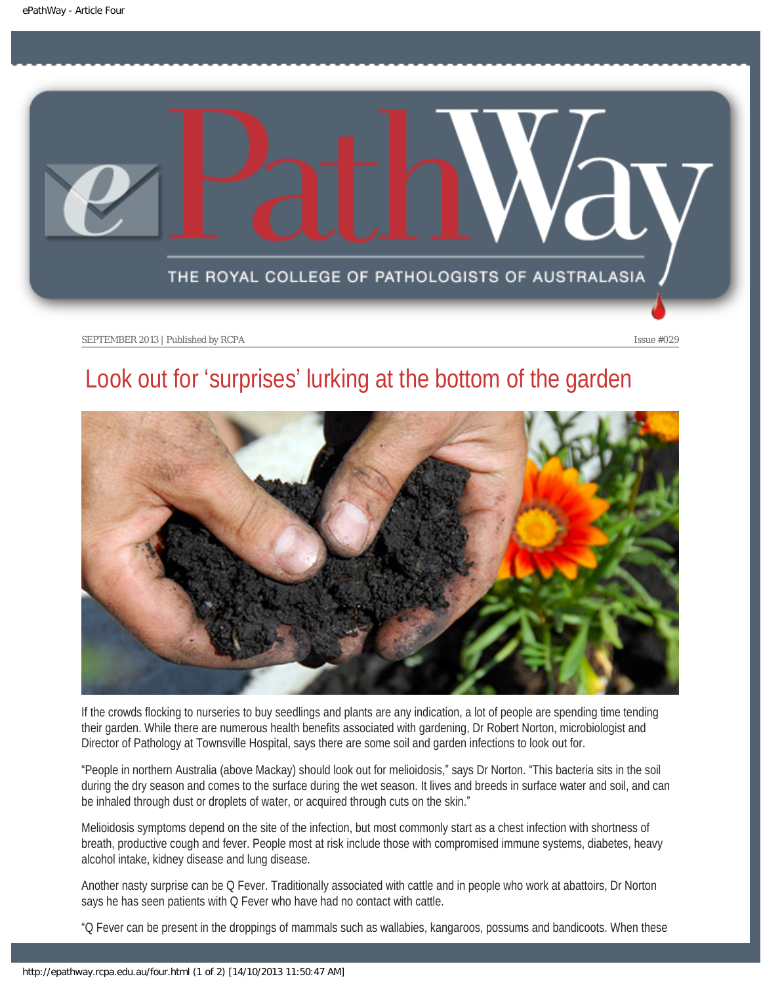<span id="page-12-0"></span>

SEPTEMBER 2013 | Published by RCPA **Issue #029** Issue #029

## Look out for 'surprises' lurking at the bottom of the garden



If the crowds flocking to nurseries to buy seedlings and plants are any indication, a lot of people are spending time tending their garden. While there are numerous health benefits associated with gardening, Dr Robert Norton, microbiologist and Director of Pathology at Townsville Hospital, says there are some soil and garden infections to look out for.

"People in northern Australia (above Mackay) should look out for melioidosis," says Dr Norton. "This bacteria sits in the soil during the dry season and comes to the surface during the wet season. It lives and breeds in surface water and soil, and can be inhaled through dust or droplets of water, or acquired through cuts on the skin."

Melioidosis symptoms depend on the site of the infection, but most commonly start as a chest infection with shortness of breath, productive cough and fever. People most at risk include those with compromised immune systems, diabetes, heavy alcohol intake, kidney disease and lung disease.

Another nasty surprise can be Q Fever. Traditionally associated with cattle and in people who work at abattoirs, Dr Norton says he has seen patients with Q Fever who have had no contact with cattle.

"Q Fever can be present in the droppings of mammals such as wallabies, kangaroos, possums and bandicoots. When these